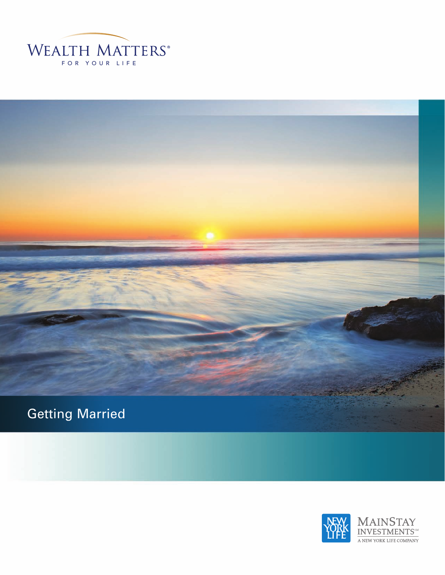



![](_page_0_Picture_2.jpeg)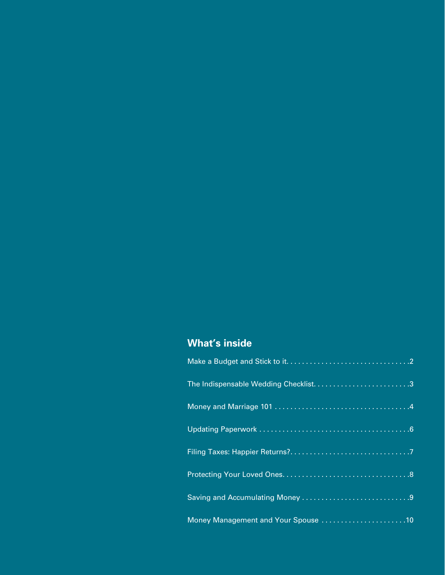# **What's inside**

| The Indispensable Wedding Checklist3 |
|--------------------------------------|
|                                      |
|                                      |
|                                      |
|                                      |
|                                      |
| Money Management and Your Spouse 10  |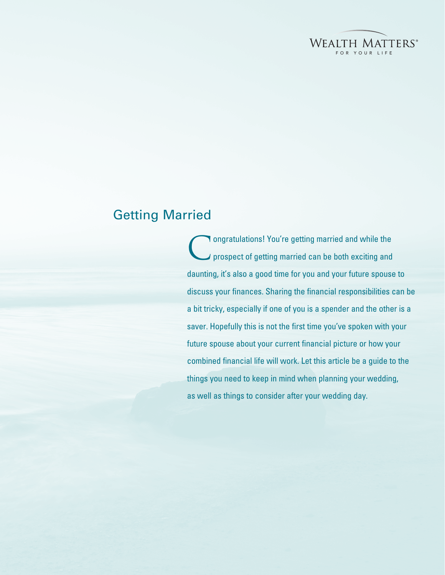![](_page_2_Picture_0.jpeg)

# Getting Married

Congratulations! You're getting married and while the prospect of getting married can be both exciting and daunting, it's also a good time for you and your future spouse to discuss your finances. Sharing the financial responsibilities can be a bit tricky, especially if one of you is a spender and the other is a saver. Hopefully this is not the first time you've spoken with your future spouse about your current financial picture or how your combined financial life will work. Let this article be a guide to the things you need to keep in mind when planning your wedding, as well as things to consider after your wedding day.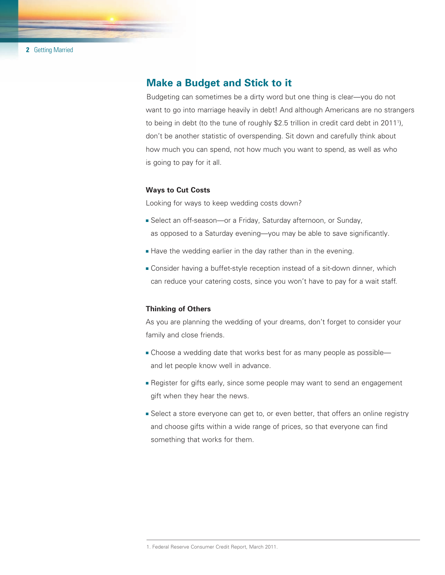### **Make a Budget and Stick to it**

Budgeting can sometimes be a dirty word but one thing is clear—you do not want to go into marriage heavily in debt! And although Americans are no strangers to being in debt (to the tune of roughly \$2.5 trillion in credit card debt in 2011<sup>1</sup>), don't be another statistic of overspending. Sit down and carefully think about how much you can spend, not how much you want to spend, as well as who is going to pay for it all.

#### **Ways to Cut Costs**

Looking for ways to keep wedding costs down?

- Select an off-season—or a Friday, Saturday afternoon, or Sunday, as opposed to a Saturday evening—you may be able to save significantly.
- **Have the wedding earlier in the day rather than in the evening.**
- **Example 2** Consider having a buffet-style reception instead of a sit-down dinner, which can reduce your catering costs, since you won't have to pay for a wait staff.

#### **Thinking of Others**

As you are planning the wedding of your dreams, don't forget to consider your family and close friends.

- Choose a wedding date that works best for as many people as possible and let people know well in advance.
- **Example 1** Register for gifts early, since some people may want to send an engagement gift when they hear the news.
- **Select a store everyone can get to, or even better, that offers an online registry** and choose gifts within a wide range of prices, so that everyone can find something that works for them.

<sup>1.</sup> Federal Reserve Consumer Credit Report, March 2011.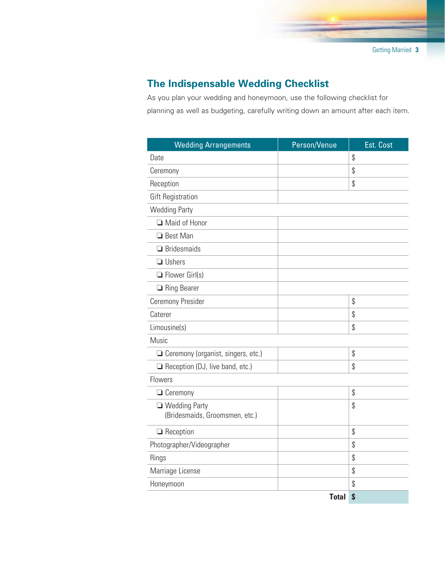# **The Indispensable Wedding Checklist**

As you plan your wedding and honeymoon, use the following checklist for planning as well as budgeting, carefully writing down an amount after each item.

| <b>Wedding Arrangements</b>            | Person/Venue | Est. Cost |
|----------------------------------------|--------------|-----------|
| Date                                   |              | \$        |
| Ceremony                               |              | \$        |
| Reception                              |              | \$        |
| <b>Gift Registration</b>               |              |           |
| <b>Wedding Party</b>                   |              |           |
| Maid of Honor                          |              |           |
| □ Best Man                             |              |           |
| $\Box$ Bridesmaids                     |              |           |
| $\Box$ Ushers                          |              |           |
| $\Box$ Flower Girl(s)                  |              |           |
| Ring Bearer                            |              |           |
| Ceremony Presider                      |              | \$        |
| Caterer                                |              | \$        |
| Limousine(s)                           |              | \$        |
| Music                                  |              |           |
| Ceremony (organist, singers, etc.)     |              | \$        |
| $\Box$ Reception (DJ, live band, etc.) |              | \$        |
| Flowers                                |              |           |
| $\Box$ Ceremony                        |              | \$        |
| □ Wedding Party                        |              | \$        |
| (Bridesmaids, Groomsmen, etc.)         |              |           |
| $\Box$ Reception                       |              | \$        |
| Photographer/Videographer              |              | \$        |
| <b>Rings</b>                           |              | \$        |
| Marriage License                       |              | \$        |
| Honeymoon                              |              | \$        |
|                                        | <b>Total</b> | \$        |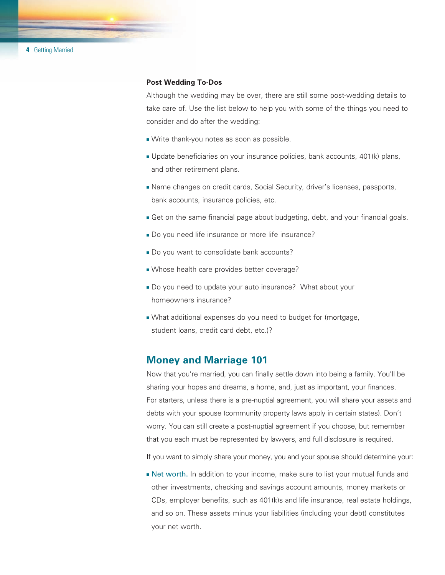**4** Getting Married

#### **Post Wedding To-Dos**

Although the wedding may be over, there are still some post-wedding details to take care of. Use the list below to help you with some of the things you need to consider and do after the wedding:

- Write thank-you notes as soon as possible.
- <sup>n</sup> Update beneficiaries on your insurance policies, bank accounts, 401(k) plans, and other retirement plans.
- **Name changes on credit cards, Social Security, driver's licenses, passports,** bank accounts, insurance policies, etc.
- **Get on the same financial page about budgeting, debt, and your financial goals.**
- Do you need life insurance or more life insurance?
- Do you want to consolidate bank accounts?
- Whose health care provides better coverage?
- Do you need to update your auto insurance? What about your homeowners insurance?
- What additional expenses do you need to budget for (mortgage, student loans, credit card debt, etc.)?

#### **Money and Marriage 101**

Now that you're married, you can finally settle down into being a family. You'll be sharing your hopes and dreams, a home, and, just as important, your finances. For starters, unless there is a pre-nuptial agreement, you will share your assets and debts with your spouse (community property laws apply in certain states). Don't worry. You can still create a post-nuptial agreement if you choose, but remember that you each must be represented by lawyers, and full disclosure is required.

If you want to simply share your money, you and your spouse should determine your:

**Net worth.** In addition to your income, make sure to list your mutual funds and other investments, checking and savings account amounts, money markets or CDs, employer benefits, such as 401(k)s and life insurance, real estate holdings, and so on. These assets minus your liabilities (including your debt) constitutes your net worth.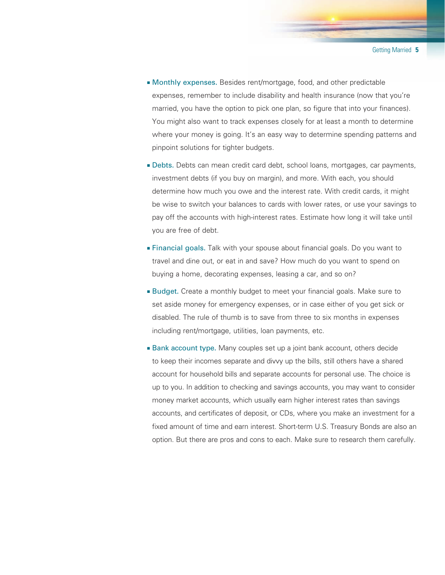- <sup>n</sup> Monthly expenses. Besides rent/mortgage, food, and other predictable expenses, remember to include disability and health insurance (now that you're married, you have the option to pick one plan, so figure that into your finances). You might also want to track expenses closely for at least a month to determine where your money is going. It's an easy way to determine spending patterns and pinpoint solutions for tighter budgets.
- <sup>n</sup> Debts. Debts can mean credit card debt, school loans, mortgages, car payments, investment debts (if you buy on margin), and more. With each, you should determine how much you owe and the interest rate. With credit cards, it might be wise to switch your balances to cards with lower rates, or use your savings to pay off the accounts with high-interest rates. Estimate how long it will take until you are free of debt.
- **Financial goals.** Talk with your spouse about financial goals. Do you want to travel and dine out, or eat in and save? How much do you want to spend on buying a home, decorating expenses, leasing a car, and so on?
- **Budget.** Create a monthly budget to meet your financial goals. Make sure to set aside money for emergency expenses, or in case either of you get sick or disabled. The rule of thumb is to save from three to six months in expenses including rent/mortgage, utilities, loan payments, etc.
- **Bank account type.** Many couples set up a joint bank account, others decide to keep their incomes separate and divvy up the bills, still others have a shared account for household bills and separate accounts for personal use. The choice is up to you. In addition to checking and savings accounts, you may want to consider money market accounts, which usually earn higher interest rates than savings accounts, and certificates of deposit, or CDs, where you make an investment for a fixed amount of time and earn interest. Short-term U.S. Treasury Bonds are also an option. But there are pros and cons to each. Make sure to research them carefully.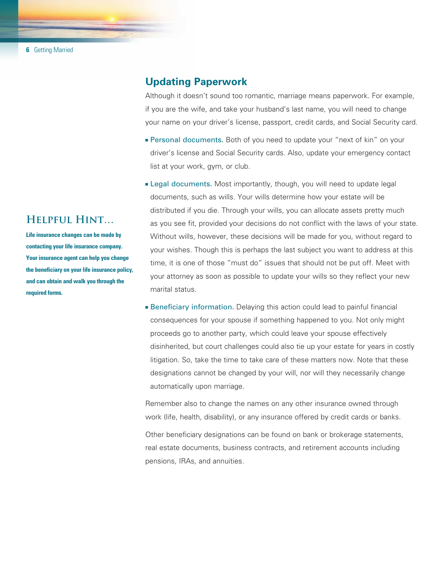# **Helpful Hint…**

**Life insurance changes can be made by contacting your life insurance company. Your insurance agent can help you change the beneficiary on your life insurance policy, and can obtain and walk you through the required forms.**

## **Updating Paperwork**

Although it doesn't sound too romantic, marriage means paperwork. For example, if you are the wife, and take your husband's last name, you will need to change your name on your driver's license, passport, credit cards, and Social Security card.

- **Personal documents.** Both of you need to update your "next of kin" on your driver's license and Social Security cards. Also, update your emergency contact list at your work, gym, or club.
- **Legal documents.** Most importantly, though, you will need to update legal documents, such as wills. Your wills determine how your estate will be distributed if you die. Through your wills, you can allocate assets pretty much as you see fit, provided your decisions do not conflict with the laws of your state. Without wills, however, these decisions will be made for you, without regard to your wishes. Though this is perhaps the last subject you want to address at this time, it is one of those "must do" issues that should not be put off. Meet with your attorney as soon as possible to update your wills so they reflect your new marital status.
- **Beneficiary information.** Delaying this action could lead to painful financial consequences for your spouse if something happened to you. Not only might proceeds go to another party, which could leave your spouse effectively disinherited, but court challenges could also tie up your estate for years in costly litigation. So, take the time to take care of these matters now. Note that these designations cannot be changed by your will, nor will they necessarily change automatically upon marriage.

Remember also to change the names on any other insurance owned through work (life, health, disability), or any insurance offered by credit cards or banks.

Other beneficiary designations can be found on bank or brokerage statements, real estate documents, business contracts, and retirement accounts including pensions, IRAs, and annuities.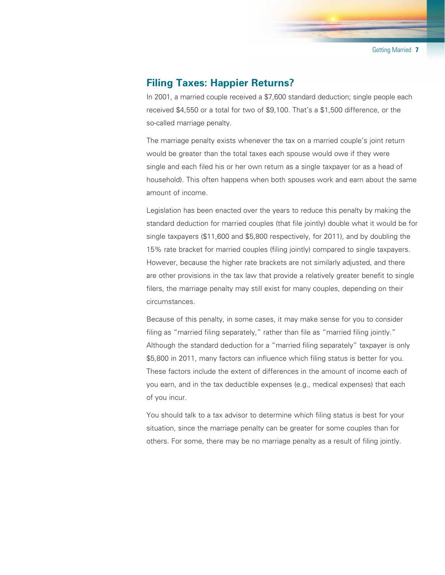## **Filing Taxes: Happier Returns?**

In 2001, a married couple received a \$7,600 standard deduction; single people each received \$4,550 or a total for two of \$9,100. That's a \$1,500 difference, or the so-called marriage penalty.

The marriage penalty exists whenever the tax on a married couple's joint return would be greater than the total taxes each spouse would owe if they were single and each filed his or her own return as a single taxpayer (or as a head of household). This often happens when both spouses work and earn about the same amount of income.

Legislation has been enacted over the years to reduce this penalty by making the standard deduction for married couples (that file jointly) double what it would be for single taxpayers (\$11,600 and \$5,800 respectively, for 2011), and by doubling the 15% rate bracket for married couples (filing jointly) compared to single taxpayers. However, because the higher rate brackets are not similarly adjusted, and there are other provisions in the tax law that provide a relatively greater benefit to single filers, the marriage penalty may still exist for many couples, depending on their circumstances.

Because of this penalty, in some cases, it may make sense for you to consider filing as "married filing separately," rather than file as "married filing jointly." Although the standard deduction for a "married filing separately" taxpayer is only \$5,800 in 2011, many factors can influence which filing status is better for you. These factors include the extent of differences in the amount of income each of you earn, and in the tax deductible expenses (e.g., medical expenses) that each of you incur.

You should talk to a tax advisor to determine which filing status is best for your situation, since the marriage penalty can be greater for some couples than for others. For some, there may be no marriage penalty as a result of filing jointly.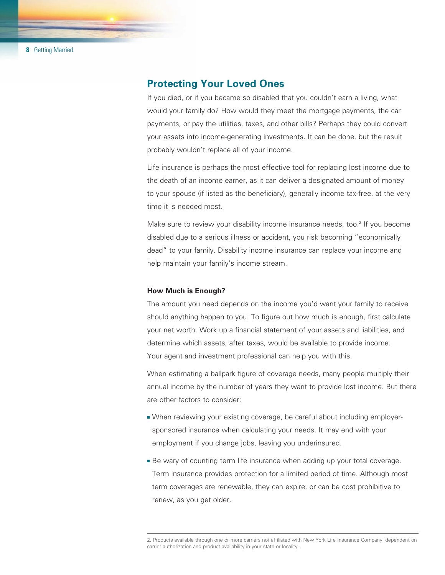### **Protecting Your Loved Ones**

If you died, or if you became so disabled that you couldn't earn a living, what would your family do? How would they meet the mortgage payments, the car payments, or pay the utilities, taxes, and other bills? Perhaps they could convert your assets into income-generating investments. It can be done, but the result probably wouldn't replace all of your income.

Life insurance is perhaps the most effective tool for replacing lost income due to the death of an income earner, as it can deliver a designated amount of money to your spouse (if listed as the beneficiary), generally income tax-free, at the very time it is needed most.

Make sure to review your disability income insurance needs, too.<sup>2</sup> If you become disabled due to a serious illness or accident, you risk becoming "economically dead" to your family. Disability income insurance can replace your income and help maintain your family's income stream.

#### **How Much is Enough?**

The amount you need depends on the income you'd want your family to receive should anything happen to you. To figure out how much is enough, first calculate your net worth. Work up a financial statement of your assets and liabilities, and determine which assets, after taxes, would be available to provide income. Your agent and investment professional can help you with this.

When estimating a ballpark figure of coverage needs, many people multiply their annual income by the number of years they want to provide lost income. But there are other factors to consider:

- When reviewing your existing coverage, be careful about including employersponsored insurance when calculating your needs. It may end with your employment if you change jobs, leaving you underinsured.
- <sup>n</sup> Be wary of counting term life insurance when adding up your total coverage. Term insurance provides protection for a limited period of time. Although most term coverages are renewable, they can expire, or can be cost prohibitive to renew, as you get older.

<sup>2.</sup> Products available through one or more carriers not affiliated with New York Life Insurance Company, dependent on carrier authorization and product availability in your state or locality.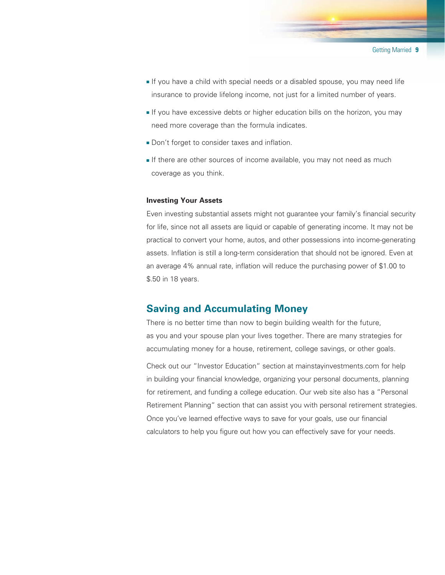- <sup>n</sup> If you have a child with special needs or a disabled spouse, you may need life insurance to provide lifelong income, not just for a limited number of years.
- **If you have excessive debts or higher education bills on the horizon, you may** need more coverage than the formula indicates.
- **Don't forget to consider taxes and inflation.**
- If there are other sources of income available, you may not need as much coverage as you think.

#### **Investing Your Assets**

Even investing substantial assets might not guarantee your family's financial security for life, since not all assets are liquid or capable of generating income. It may not be practical to convert your home, autos, and other possessions into income-generating assets. Inflation is still a long-term consideration that should not be ignored. Even at an average 4% annual rate, inflation will reduce the purchasing power of \$1.00 to \$.50 in 18 years.

## **Saving and Accumulating Money**

There is no better time than now to begin building wealth for the future, as you and your spouse plan your lives together. There are many strategies for accumulating money for a house, retirement, college savings, or other goals.

Check out our "Investor Education" section at mainstayinvestments.com for help in building your financial knowledge, organizing your personal documents, planning for retirement, and funding a college education. Our web site also has a "Personal Retirement Planning" section that can assist you with personal retirement strategies. Once you've learned effective ways to save for your goals, use our financial calculators to help you figure out how you can effectively save for your needs.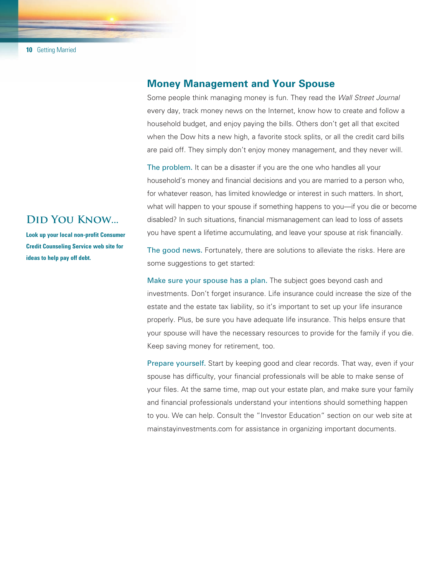### **Money Management and Your Spouse**

Some people think managing money is fun. They read the *Wall Street Journal* every day, track money news on the Internet, know how to create and follow a household budget, and enjoy paying the bills. Others don't get all that excited when the Dow hits a new high, a favorite stock splits, or all the credit card bills are paid off. They simply don't enjoy money management, and they never will.

The problem. It can be a disaster if you are the one who handles all your household's money and financial decisions and you are married to a person who, for whatever reason, has limited knowledge or interest in such matters. In short, what will happen to your spouse if something happens to you—if you die or become disabled? In such situations, financial mismanagement can lead to loss of assets you have spent a lifetime accumulating, and leave your spouse at risk financially.

The good news. Fortunately, there are solutions to alleviate the risks. Here are some suggestions to get started:

Make sure your spouse has a plan. The subject goes beyond cash and investments. Don't forget insurance. Life insurance could increase the size of the estate and the estate tax liability, so it's important to set up your life insurance properly. Plus, be sure you have adequate life insurance. This helps ensure that your spouse will have the necessary resources to provide for the family if you die. Keep saving money for retirement, too.

Prepare yourself. Start by keeping good and clear records. That way, even if your spouse has difficulty, your financial professionals will be able to make sense of your files. At the same time, map out your estate plan, and make sure your family and financial professionals understand your intentions should something happen to you. We can help. Consult the "Investor Education" section on our web site at mainstayinvestments.com for assistance in organizing important documents.

## **Did You Know...**

**Look up your local non-profit Consumer Credit Counseling Service web site for ideas to help pay off debt.**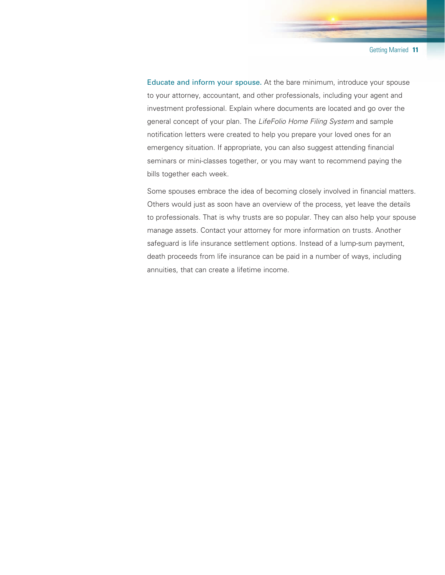Educate and inform your spouse. At the bare minimum, introduce your spouse to your attorney, accountant, and other professionals, including your agent and investment professional. Explain where documents are located and go over the general concept of your plan. The *LifeFolio Home Filing System* and sample notification letters were created to help you prepare your loved ones for an emergency situation. If appropriate, you can also suggest attending financial seminars or mini-classes together, or you may want to recommend paying the bills together each week.

Some spouses embrace the idea of becoming closely involved in financial matters. Others would just as soon have an overview of the process, yet leave the details to professionals. That is why trusts are so popular. They can also help your spouse manage assets. Contact your attorney for more information on trusts. Another safeguard is life insurance settlement options. Instead of a lump-sum payment, death proceeds from life insurance can be paid in a number of ways, including annuities, that can create a lifetime income.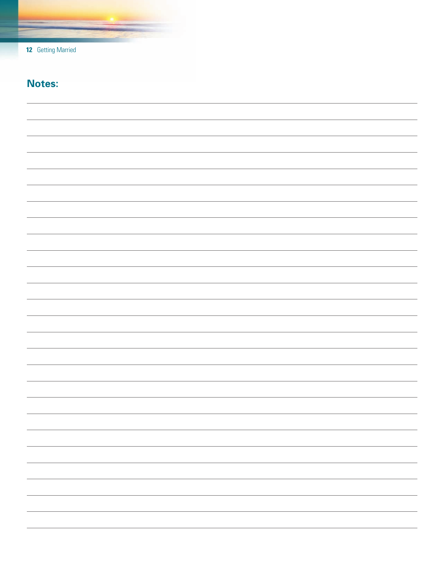| $12 \ \mathsf{ }$ | <b>Getting Married</b> |  |
|-------------------|------------------------|--|
|                   |                        |  |

# **Notes:**

| <u> 1989 - Andrea San Andrea Andrea Andrea Andrea Andrea Andrea Andrea Andrea Andrea Andrea Andrea Andrea Andrea</u> |
|----------------------------------------------------------------------------------------------------------------------|
|                                                                                                                      |
|                                                                                                                      |
|                                                                                                                      |
|                                                                                                                      |
|                                                                                                                      |
|                                                                                                                      |